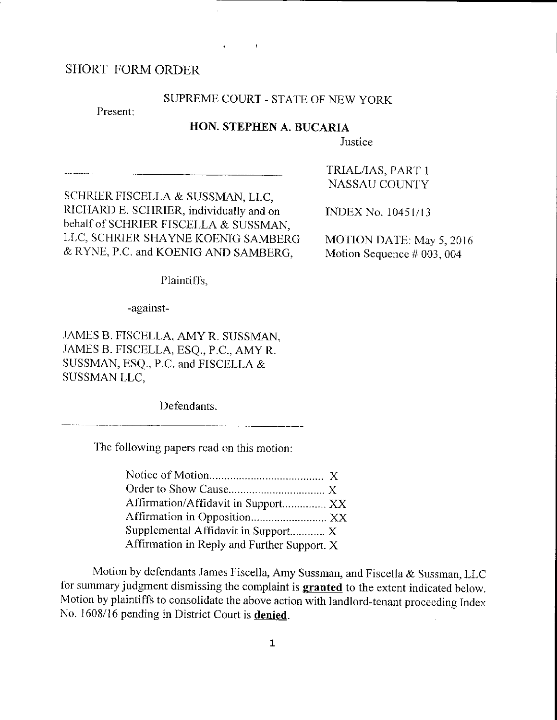# SHORT FORM ORDER

### SUPREME COURT - STATE OF NEW YORK

Present:

# HON. STEPHEN A. BUCARIA

Justice

SCHRIER FISCELLA & SUSSMAN, LLC, RICHARD E. SCHRIER, individually and on behalf of SCHRIER FISCELLA & SUSSMAN, LLC, SCHRIER SHAYNE KOENIG SAMBERG & RYNE, P.C. and KOENIG AND SAMBERG,

TRIAL/IAS, PART 1 **NASSAU COUNTY** 

**INDEX No. 10451/13** 

MOTION DATE: May 5, 2016 Motion Sequence  $#003,004$ 

Plaintiffs,

-against-

JAMES B. FISCELLA, AMY R. SUSSMAN, JAMES B. FISCELLA, ESQ., P.C., AMY R. SUSSMAN, ESQ., P.C. and FISCELLA & SUSSMAN LLC,

Defendants.

The following papers read on this motion:

| Affirmation/Affidavit in Support XX         |  |
|---------------------------------------------|--|
| Affirmation in Opposition XX                |  |
| Supplemental Affidavit in Support X         |  |
| Affirmation in Reply and Further Support. X |  |

Motion by defendants James Fiscella, Amy Sussman, and Fiscella & Sussman, LLC for summary judgment dismissing the complaint is granted to the extent indicated below. Motion by plaintiffs to consolidate the above action with landlord-tenant proceeding Index No. 1608/16 pending in District Court is denied.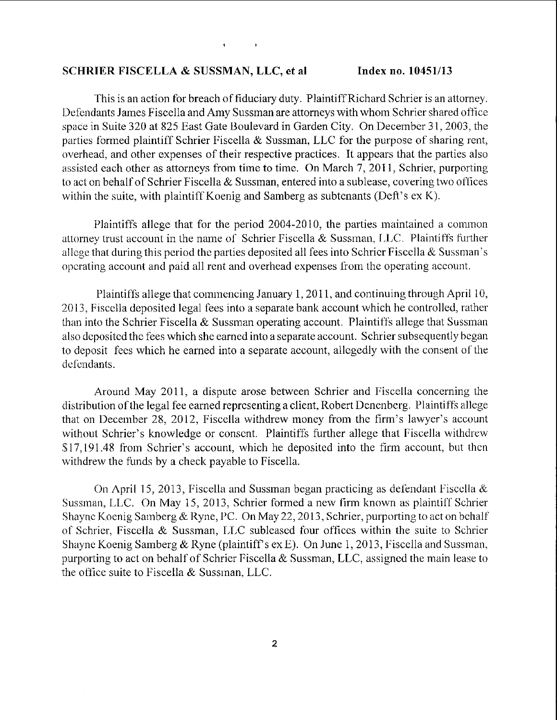#### SCHRIER FISCELLA & SUSSMAN, LLC, et al Index no. 10451/13

This is an action for breach of fiduciary duty. Plaintiff Richard Schrier is an attorney. Defendants James Fiscella and Amy Sussman are attorneys with whom Schrier shared office space in Suite 320 at 825 East Gate Boulevard in Garden City. On December 31, 2003, the parties formed plaintiff Schrier Fiscella  $\&$  Sussman, LLC for the purpose of sharing rent, overhead, and other expenses of their respective practices. It appears that the parties also assisted each other as attorneys from time to time. On March 7, 2011, Schrier, purporting to act on behalf of Schrier Fiscella & Sussman, entered into a sublease, covering two offices within the suite, with plaintiff Koenig and Samberg as subtenants (Deft's  $ex K$ ).

Plaintiffs allege that for the period 2004-2010, the parties maintained a common attorney trust account in the name of Schrier Fiscella & Sussman, LLC. Plaintiffs further allege that during this period the parties deposited all fees into Schricr Fiscella & Sussman's operating account and paid all rent and overhead expenses from the operating account.

Plaintiffs allege that commencing January 1, 2011, and continuing through April 10, 2013. Fiscella deposited legal fees into a separate bank account which he controlled, rather than into the Schrier Fiscella & Sussman operating account. Plaintiffs allege that Sussman also deposited the fees which she earned into a separate account. Schrier subsequently began to deposit fees which he earned into a separate account, allegedly with the consent of the defendants.

Around May 2011, a dispute arose between Schrier and Fiscella concerning the distribution of the legal fee earned representing a client, Robert Denenberg. Plaintiffs allege that on December 28, 2012, Fiscella withdrew money from the firm's lawyer's account without Schrier's knowledge or consent. Plaintiffs further allege that Fiscella withdrew \$17,191.48 from Schrier's account, which he deposited into the firm account, but then withdrew the funds by a check payable to Fiscella.

On April 15, 2013, Fiscella and Sussman began practicing as defendant Fiscella  $\&$ Sussman, LLC. On May 15, 2013, Schrier formed a new firm known as plaintiff Schrier Shayne Koenig Samberg & Ryne, PC. On May 22, 2013, Schrier, purporting to act on behalf of Schrier, Fiscella & Sussman, LLC subleased four offices within the suite to Schrier Shayne Koenig Samberg & Ryne (plaintiff's ex E). On June 1, 2013, Fiscella and Sussman, purporting to act on behalf of Schrier Fiscella & Sussman, LLC, assigned the main lease to the office suite to Fiscella  $&$  Sussman, LLC.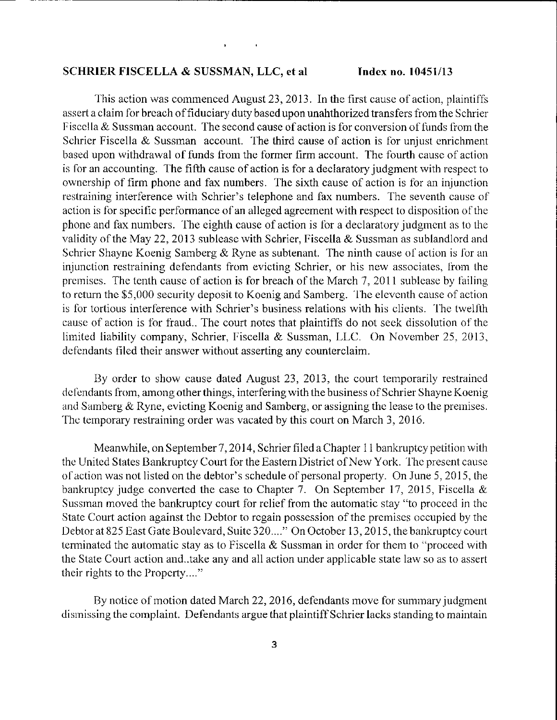#### SCHRIER FISCELLA & SUSSMAN, LLC, et al.

Index no. 10451/13

This action was commenced August 23, 2013. In the first cause of action, plaintiffs assert a claim for breach of fiduciary duty based upon unahthorized transfers from the Schrier Fiscella & Sussman account. The second cause of action is for conversion of funds from the Schrier Fiscella & Sussman account. The third cause of action is for unjust enrichment based upon withdrawal of funds from the former firm account. The fourth cause of action is for an accounting. The fifth cause of action is for a declaratory judgment with respect to ownership of firm phone and fax numbers. The sixth cause of action is for an injunction restraining interference with Schrier's telephone and fax numbers. The seventh cause of action is for specific performance of an alleged agreement with respect to disposition of the phone and fax numbers. The eighth cause of action is for a declaratory judgment as to the validity of the May 22, 2013 sublease with Schrier, Fiscella & Sussman as sublandlord and Schrier Shayne Koenig Samberg & Ryne as subtenant. The ninth cause of action is for an injunction restraining defendants from evicting Schrier, or his new associates, from the premises. The tenth cause of action is for breach of the March 7, 2011 sublease by failing to return the \$5,000 security deposit to Koenig and Samberg. The eleventh cause of action is for tortious interference with Schrier's business relations with his clients. The twelfth cause of action is for fraud.. The court notes that plaintiffs do not seek dissolution of the limited liability company, Schrier, Fiscella & Sussman, LLC. On November 25, 2013, defendants filed their answer without asserting any counterclaim.

By order to show cause dated August 23, 2013, the court temporarily restrained defendants from, among other things, interfering with the business of Schrier Shayne Koenig and Samberg & Ryne, evicting Koenig and Samberg, or assigning the lease to the premises. The temporary restraining order was vacated by this court on March 3, 2016.

Meanwhile, on September 7, 2014, Schrier filed a Chapter 11 bankruptcy petition with the United States Bankruptcy Court for the Eastern District of New York. The present cause of action was not listed on the debtor's schedule of personal property. On June 5, 2015, the bankruptcy judge converted the case to Chapter 7. On September 17, 2015, Fiscella & Sussman moved the bankruptcy court for relief from the automatic stay "to proceed in the State Court action against the Debtor to regain possession of the premises occupied by the Debtor at 825 East Gate Boulevard, Suite 320...." On October 13, 2015, the bankruptcy court terminated the automatic stay as to Fiscella  $\&$  Sussman in order for them to "proceed with the State Court action and take any and all action under applicable state law so as to assert their rights to the Property...."

By notice of motion dated March 22, 2016, defendants move for summary judgment dismissing the complaint. Defendants argue that plaintiff Schrier lacks standing to maintain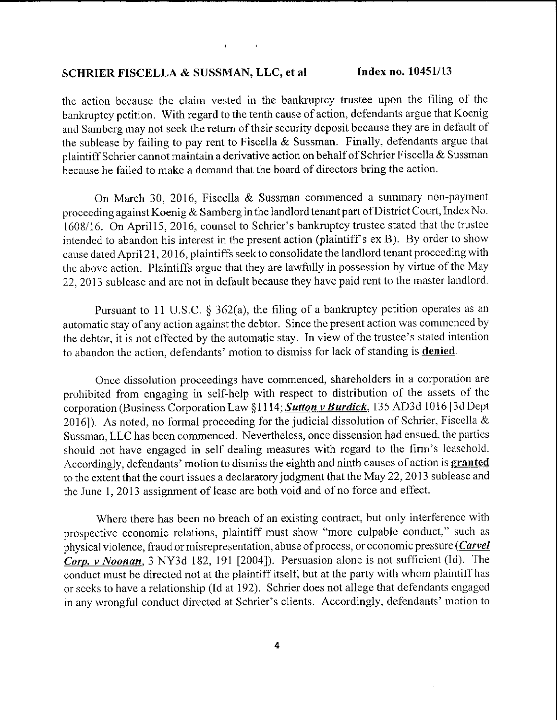# SCHRIER FISCELLA & SUSSMAN, LLC, et al Index no. 10451/13

the action because the claim vested in the bankruptcy trustee upon the filing of the bankruptcy pctition. With regard to the tenth cause of action, defendants argue that Koenig and Samberg may not seek the return of their security deposit because they are in default of the sublease by failing to pay rent to Fiscella  $\&$  Sussman. Finally, defendants argue that plaintiff Schrier cannot maintain a derivative action on behalf of Schrier Fiscella & Sussman because he failed to make a demand that the board of directors bring the action.

On March 30, 2016, Fiscella & Sussman commenced a summary non-payment proceeding against Koenig & Samberg in the landlord tenant part of District Court, Index No. 1608/16. On April15, 2016, counsel to Schrier's bankruptcy trustee stated that the trustee intended to abandon his interest in the present action (plaintiff's ex B). By order to show cause dated April 21, 2016, plaintiffs seek to consolidate the landlord tenant procceding with the above action. Plaintiffs argue that they are lawfully in possession by virtue of the May 22, 2013 sublease and are not in default because they have paid rent to the master landlord.

Pursuant to 11 U.S.C.  $\S$  362(a), the filing of a bankruptcy petition operates as an automatic stay of any action against the debtor. Since the present action was commenced by the debtor, it is not effected by the automatic stay. In view of the trustee's stated intention to abandon the action, defendants' motion to dismiss for lack of standing is **denied**.

Once dissolution proceedings have commenced, shareholders in a corporation are prohibited from engaging in self-help with respect to distribution of the assets of the corporation (Business Corporation Law §1114; Sutton v Burdick, 135 AD3d 1016 [3d Dept 2016]). As noted, no formal procceding for the judicial dissolution of Schrier, Fiscella & Sussman, LLC has been commenced. Nevertheless, once dissension had ensued, the parties should not have engaged in self dealing measures with regard to the firm's leasehold. Accordingly, defendants' motion to dismiss the eighth and ninth causes of action is granted to the extent that the court issues a declaratory judgment that the May 22, 2013 sublease and the June 1, 2013 assignment of lease are both void and of no force and effect.

Where there has been no breach of an existing contract, but only interference with prospective economic relations, plaintiff must show "more culpable conduct," such as physical violence, fraud or misrepresentation, abuse of process, or economic pressure (*Carvel* Corp. v Noonan, 3 NY3d 182, 191 [2004]). Persuasion alone is not sufficient (Id). The conduct must be directed not at the plaintiff itself, but at the party with whom plaintiff has or seeks to have a relationship (Id at 192). Schrier does not allege that defendants engaged in any wrongful conduct directed at Schrier's clients. Accordingly, defendants' motion to